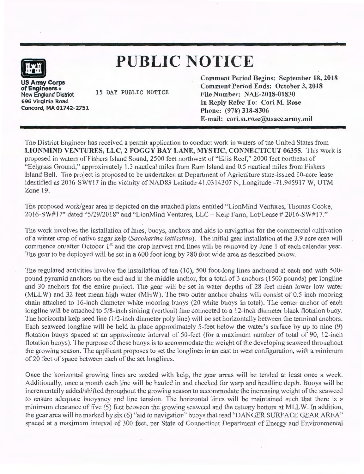# **PUBLIC NOTICE**

**mi US Anny Corps** 

**of Engineers** a New England District 696 Virginia Road Concord, MA 01742-2751

15 DAY PUBLIC NOTICE

Comment Period Begins: September 18, 2018 Comment Period Ends: October 3, 2018 File Number: NAE-2018-01830 In Reply Refer To: Cori M. Rose Phone: (978) 318-8306 E-mail: cori.m.rose@usace.army.mil

The District Engineer has received a permit application to conduct work in waters of the United States from LIONMIND VENTURES, LLC, 2 POGGY BAY LANE, MYSTIC, CONNECTICUT 06355. This work is proposed in waters of Fishers Island Sound, 2500 feet northwest of "Ellis Reef," 2000 feet northeast of "Eelgrass Ground," approximately 1.3 nautical miles from Ram Island and 0.5 nautical miles from Fishers Island Bell. The project is proposed to be undertaken at Department of Agriculture state-issued 10-acre lease identified as  $2016-SW#17$  in the vicinity of NAD83 Latitude 41.0314307 N, Longitude  $-71.945917$  W, UTM Zone 19.

The proposed work/gear area is depicted on the attached plans entitled "LionMind Ventures, Thomas Cooke, 2016-SW#17" dated "5/29/2018" and "LionMind Ventures, LLC - Kelp Farm, Lot/Lease # 2016-SW#17."

The work involves the installation of lines, buoys, anchors and aids to navigation for the commercial cultivation of a winter crop of native sugar kelp *(Saccharina lattissima).* The initial gear installation at the 3.9 acre area will commence on/after October 1<sup>st</sup> and the crop harvest and lines will be removed by June 1 of each calendar year. The gear to be deployed will be set in a 600 foot long by 280 foot wide area as described below.

The regulated activities involve the installation of ten (10), 500 foot-long lines anchored at each end with 500 pound pyramid anchors on the end and in the middle anchor, for a total of 3 anchors (1500 pounds) per longline and 30 anchors for the entire project. The gear will be set in water depths of 28 feet mean lower low water (MLL W) and 32 feet mean high water (MHW). The two outer anchor chains will consist of 0.5 inch mooring chain attached to 16-inch diameter white mooring buoys (20 white buoys in total). The center anchor of each longline will be attached to 5/8-inch sinking (vertical) line connected to a 12-inch diameter black flotation buoy. The horizontal kelp seed line (1/2-inch diameter poly line) will be set horizontally between the terminal anchors. Each seaweed longline will be held in place approximately 5-feet below the water's surface by up to nine (9) flotation buoys spaced at an approximate interval of 50-feet (for a maximum number of total of 90, 12-inch flotation buoys). The purpose of these buoys is to accommodate the weight of the developing seaweed throughout the growing season. The applicant proposes to set the longlines in an east to west configuration, with a minimum of 20 feet of space between each of the set longlines.

Once the horizontal growing lines are seeded with kelp, the gear areas will be tended at least once a week. Additionally, once a month each line will be hauled in and checked for warp and headline depth. Buoys will be incrementally added/shifted throughout the growing season to accommodate the increasing weight of the seaweed to ensure adequate buoyancy and line tension. The horizontal lines will be maintained such that there is a minimum clearance of five (5) feet between the growing seaweed and the estuary bottom at MLL W. In addition, the gear area will be marked by six (6) "aid to navigation" buoys that read "DANGER SURFACE GEAR AREA" spaced at a maximum interval of 300 feet, per State of Connecticut Department of Energy and Environmental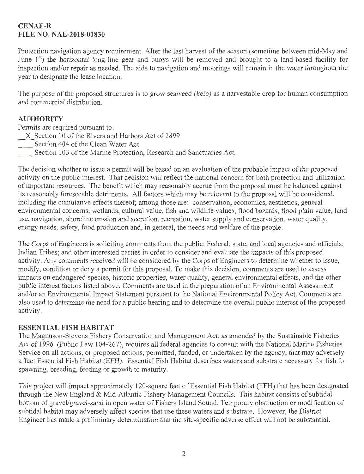## **CENAE-R FILE NO. NAE-2018-01830**

Protection navigation agency requirement. After the last harvest of the season (sometime between mid-May and June 1<sup>st</sup>) the horizontal long-line gear and buoys will be removed and brought to a land-based facility for inspection and/or repair as needed. The aids to navigation and moorings will remain in the water throughout the year to designate the lease location.

The purpose of the proposed structures is to grow seaweed (kelp) as a harvestable crop for human consumption and commercial distribution.

## **AUTHORITY**

Permits are required pursuant to:

- X Section 10 of the Rivers and Harbors Act of 1899
- Section 404 of the Clean Water Act
- Section 103 of the Marine Protection, Research and Sanctuaries Act.

The decision whether to issue a permit will be based on an evaluation of the probable impact of the proposed activity on the public interest. That decision will reflect the national concern for both protection and utilization of important resources. The benefit which may reasonably accrue from the proposal must be balanced against its reasonably foreseeable detriments. All factors which may be relevant to the proposal will be considered, including the cumulative effects thereof; among those are: conservation, economics, aesthetics, general environmental concerns, wetlands, cultural value, fish and wildlife values, flood hazards, flood plain value, land use, navigation, shoreline erosion and accretion, recreation, water supply and conservation, water quality, energy needs, safety, food production and, in general, the needs and welfare of the people.

The Corps of Engineers is soliciting comments from the public; Federal, state, and local agencies and officials; Indian Tribes; and other interested parties in order to consider and evaluate the impacts of this proposed activity. Any comments received will be considered by the Corps of Engineers to determine whether to issue, modify, condition or deny a permit for this proposal. To make this decision, comments are used to assess impacts on endangered species, historic properties, water quality, general environmental effects, and the other public interest factors listed above. Comments are used in the preparation of an Environmental Assessment and/or an Environmental Impact Statement pursuant to the National Environmental Policy Act. Comments are also used to determine the need for a public hearing and to determine the overall public interest of the proposed activity.

#### **ESSENTIAL FISH HABITAT**

The Magnuson-Stevens Fishery Conservation and Management Act, as amended by the Sustainable Fisheries Act of 1996 (Public Law 104-267), requires all federal agencies to consult with the National Marine Fisheries Service on all actions, or proposed actions, permitted, funded, or undertaken by the agency, that may adversely affect Essential Fish Habitat (EFH). Essential Fish Habitat describes waters and substrate necessary for fish for spawning, breeding, feeding or growth to maturity.

This project will impact approximately 120-square feet of Essential Fish Habitat (EFH) that has been designated through the New England & Mid-Atlantic Fishery Management Councils. This habitat consists of subtidal bottom of gravel/gravel-sand in open water of Fishers Island Sound. Temporary obstruction or modification of subtidal habitat may adversely affect species that use these waters and substrate. However, the District Engineer has made a preliminary determination that the site-specific adverse effect will not be substantial.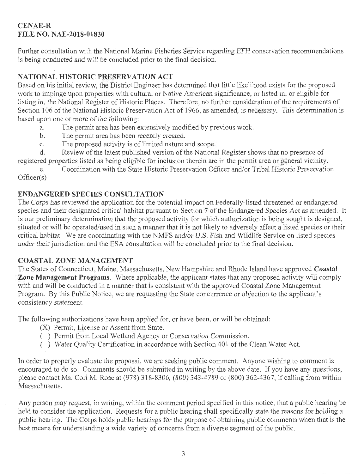## **CENAE-R FILE NO. NAE-2018-01830**

Further consultation with the National Marine Fisheries Service regarding EFH conservation recommendations is being conducted and will be concluded prior to the final decision.

# **NATIONAL HISTORIC PRESERVATION ACT**

Based on his initial review, the District Engineer has determined that little likelihood exists for the proposed work to impinge upon properties with cultural or Native American significance, or listed in, or eligible for listing in, the National Register of Historic Places. Therefore, no further consideration of the requirements of Section 106 of the National Historic Preservation Act of 1966, as amended, is necessary. This determination is based upon one or more of the following:

- a. The permit area has been extensively modified by previous work.<br>b The permit area has been recently created
- The permit area has been recently created.
- c. The proposed activity is of limited nature and scope.<br>d. Review of the latest published version of the Nationa

Review of the latest published version of the National Register shows that no presence of registered properties listed as being eligible for inclusion therein are in the permit area or general vicinity.

e. Coordination with the State Historic Preservation Officer and/or Tribal Historic Preservation Officer(s)

## **ENDANGERED SPECIES CONSULTATION**

The Corps has reviewed the application for the potential impact on Federally-listed threatened or endangered species and their designated critical habitat pursuant to Section 7 of the Endangered Species Act as amended. It is our preliminary determination that the proposed activity for which authorization is being sought is designed, situated or will be operated/used in such a manner that it is not likely to adversely affect a listed species or their critical habitat. We are coordinating with the NMFS and/or U.S. Fish and Wildlife Service on listed species under their jurisdiction and the ESA consultation will be concluded prior to the final decision.

## **COASTAL ZONE MANAGEMENT**

The States of Connecticut, Maine, Massachusetts, New Hampshire and Rhode Island have approved **Coastal Zone Management Programs.** Where applicable, the applicant states that any proposed activity will comply with and will be conducted in a manner that is consistent with the approved Coastal Zone Management Program. By this Public Notice, we are requesting the State concurrence or objection to the applicant's consistency statement.

The following authorizations have been applied for, or have been, or will be obtained:

- (X) Permit, License or Assent from State.
- ( ) Permit from Local Wetland Agency or Conservation Commission.
- ( ) Water Quality Certification in accordance with Section 401 of the Clean Water Act.

In order to properly evaluate the proposal, we are seeking public comment. Anyone wishing to comment is encouraged to do so. Comments should be submitted in writing by the above date. If you have any questions, please contact Ms. Cori M. Rose at (978) 318-8306, (800) 343-4 789 or (800) 362-4367, if calling from within Massachusetts.

Any person may request, in writing, within the comment period specified in this notice, that a public hearing be held to consider the application. Requests for a public hearing shall specifically state the reasons for holding a public hearing. The Corps holds public hearings for the purpose of obtaining public comments when that is the best means for understanding a wide variety of concerns from a diverse segment of the public.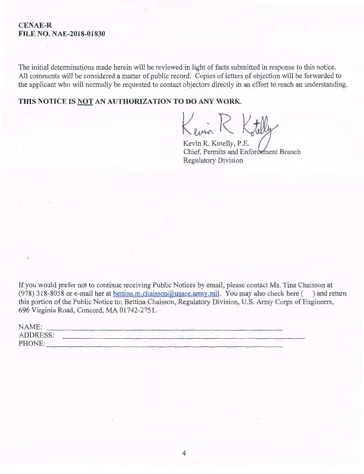#### **CENAE-R FILE NO. NAE-2018-01830**

The initial determinations made herein will be reviewed in light of facts submitted in response to this notice. All comments will be considered a matter of public record. Copies of letters of objection will be forwarded to the applicant who will normally be requested to contact objectors directly in an effort to reach an understanding.

**THIS NOTICE IS NOT AN AUTHORIZATION TO DO ANY WORK.** 

Kevin R Ktilly

Kevin R. Kotelly, P.E. Chief, Permits and Enfor Regulatory Division

If you would prefer not to continue receiving Public Notices by email, please contact Ms. Tina Chaisson at (978) 318-8058 or e-mail her at bettina.m.chaisson@usace.army.mil. You may also check here  $($ ) and return this portion of the Public Notice to: Bettina Chaisson, Regulatory Division, U.S. Army Corps of Engineers, 696 Virginia Road, Concord, MA 01742-2751.

| NAME:           |  |
|-----------------|--|
| <b>ADDRESS:</b> |  |
| PHONE:          |  |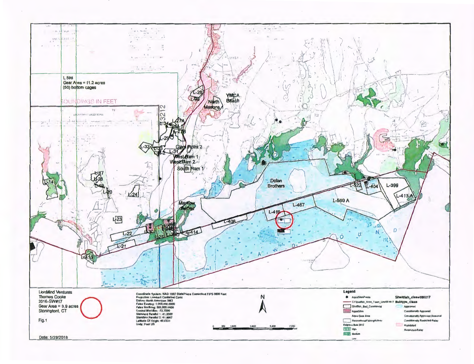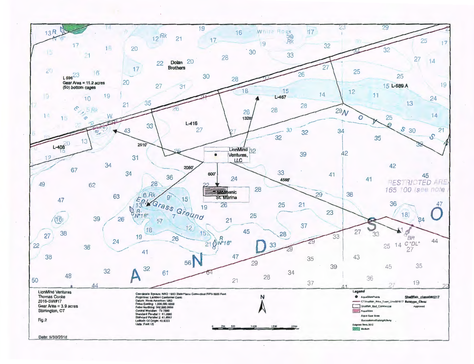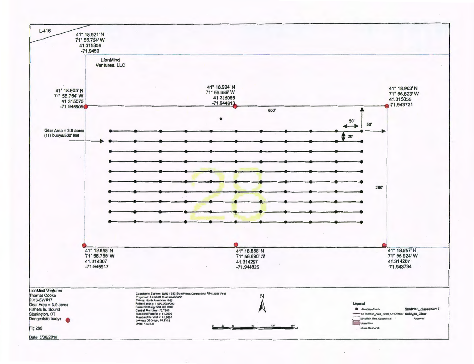